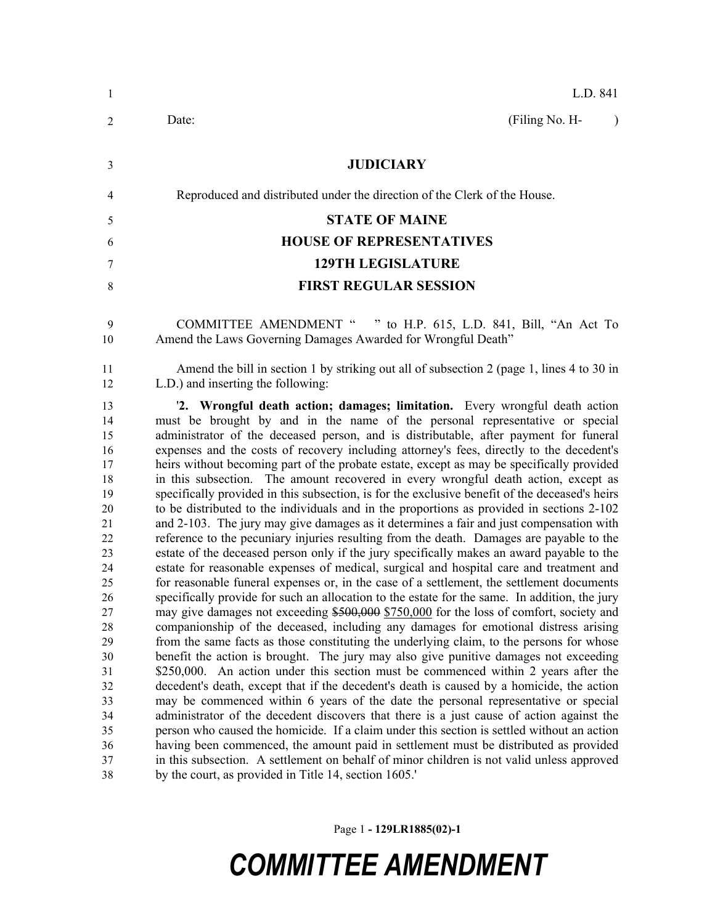| $\mathbf{1}$   | L.D. 841                                                                                                                        |
|----------------|---------------------------------------------------------------------------------------------------------------------------------|
| $\overline{2}$ | (Filing No. H-<br>Date:                                                                                                         |
| $\mathcal{E}$  | <b>JUDICIARY</b>                                                                                                                |
| $\overline{4}$ | Reproduced and distributed under the direction of the Clerk of the House.                                                       |
| 5              | <b>STATE OF MAINE</b>                                                                                                           |
| 6              | <b>HOUSE OF REPRESENTATIVES</b>                                                                                                 |
|                | <b>129TH LEGISLATURE</b>                                                                                                        |
| 8              | <b>FIRST REGULAR SESSION</b>                                                                                                    |
| -9<br>10       | COMMITTEE AMENDMENT " " to H.P. 615, L.D. 841, Bill, "An Act To<br>Amend the Laws Governing Damages Awarded for Wrongful Death" |
| 11             | Amend the bill in section 1 by striking out all of subsection 2 (page 1, lines 4 to 30 in                                       |

L.D.) and inserting the following:

 '**2. Wrongful death action; damages; limitation.** Every wrongful death action must be brought by and in the name of the personal representative or special administrator of the deceased person, and is distributable, after payment for funeral expenses and the costs of recovery including attorney's fees, directly to the decedent's heirs without becoming part of the probate estate, except as may be specifically provided in this subsection. The amount recovered in every wrongful death action, except as specifically provided in this subsection, is for the exclusive benefit of the deceased's heirs to be distributed to the individuals and in the proportions as provided in sections 2-102 and 2-103. The jury may give damages as it determines a fair and just compensation with reference to the pecuniary injuries resulting from the death. Damages are payable to the estate of the deceased person only if the jury specifically makes an award payable to the estate for reasonable expenses of medical, surgical and hospital care and treatment and for reasonable funeral expenses or, in the case of a settlement, the settlement documents specifically provide for such an allocation to the estate for the same. In addition, the jury may give damages not exceeding \$500,000 \$750,000 for the loss of comfort, society and companionship of the deceased, including any damages for emotional distress arising from the same facts as those constituting the underlying claim, to the persons for whose benefit the action is brought. The jury may also give punitive damages not exceeding \$250,000. An action under this section must be commenced within 2 years after the decedent's death, except that if the decedent's death is caused by a homicide, the action may be commenced within 6 years of the date the personal representative or special administrator of the decedent discovers that there is a just cause of action against the person who caused the homicide. If a claim under this section is settled without an action having been commenced, the amount paid in settlement must be distributed as provided in this subsection. A settlement on behalf of minor children is not valid unless approved by the court, as provided in Title 14, section 1605.'

Page 1 **- 129LR1885(02)-1**

## *COMMITTEE AMENDMENT*